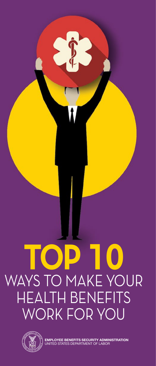# **TOP 10** WAYS TO MAKE YOUR HEALTH BENEFITS WORK FOR YOU



**EMPLOYEE BENEFITS SECURITY ADMINISTRATION** UNITED STATES DEPARTMENT OF LABOR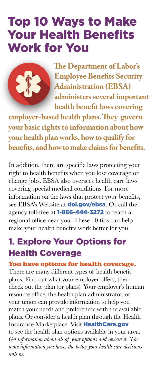## Top 10 Ways to Make Your Health Benefits Work for You



 **The Department of Labor's Employee Benefits Security Administration (EBSA) administers several important health benefit laws covering** 

**employer-based health plans. They govern your basic rights to information about how your health plan works, how to qualify for benefits, and how to make claims for benefits.**

In addition, there are specific laws protecting your right to health benefits when you lose coverage or change jobs. EBSA also oversees health care laws covering special medical conditions. For more information on the laws that protect your benefits, see EBSA's Website at **[dol.gov/ebsa](http://www.dol.gov/ebsa)**. Or call the agency toll-free at 1-866-444-3272 to reach a regional office near you. These 10 tips can help make your health benefits work better for you.

## 1. Explore Your Options for Health Coverage

#### **You have options for health coverage.**

There are many different types of health benefit plans. Find out what your employer offers, then check out the plan (or plans). Your employer's human resource office, the health plan administrator, or your union can provide information to help you match your needs and preferences with the available plans. Or consider a health plan through the Health Insurance Marketplace. Visit [HealthCare.gov](http://www.HealthCare.gov) to see the health plan options available in your area. *Get information about all of your options and review it. The more information you have, the better your health care decisions will be.*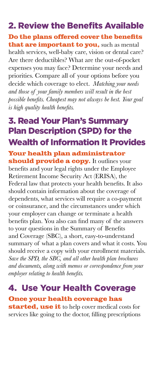## 2. Review the Benefits Available

#### **Do the plans offered cover the benefits that are important to you,** such as mental

health services, well-baby care, vision or dental care? Are there deductibles? What are the out-of-pocket expenses you may face? Determine your needs and priorities. Compare all of your options before you decide which coverage to elect. *Matching your needs and those of your family members will result in the best possible benefits. Cheapest may not always be best. Your goal is high quality health benefits.*

## 3. Read Your Plan's Summary Plan Description (SPD) for the Wealth of Information It Provides

#### **Your health plan administrator should provide a copy.** It outlines your

benefits and your legal rights under the Employee Retirement Income Security Act (ERISA), the Federal law that protects your health benefits. It also should contain information about the coverage of dependents, what services will require a co-payment or coinsurance, and the circumstances under which your employer can change or terminate a health benefits plan. You also can find many of the answers to your questions in the Summary of Benefits and Coverage (SBC), a short, easy-to-understand summary of what a plan covers and what it costs. You should receive a copy with your enrollment materials. *Save the SPD, the SBC, and all other health plan brochures and documents, along with memos or correspondence from your employer relating to health benefits.*

## 4. Use Your Health Coverage

**Once your health coverage has** 

**started, use it** to help cover medical costs for services like going to the doctor, filling prescriptions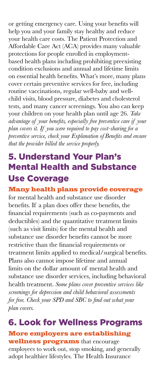or getting emergency care. Using your benefits will help you and your family stay healthy and reduce your health care costs. The Patient Protection and Affordable Care Act (ACA) provides many valuable protections for people enrolled in employmentbased health plans including prohibiting preexisting condition exclusions and annual and lifetime limits on essential health benefits. What's more, many plans cover certain preventive services for free, including routine vaccinations, regular well-baby and wellchild visits, blood pressure, diabetes and cholesterol tests, and many cancer screenings. You also can keep your children on your health plan until age 26. *Take advantage of your benefits, especially free preventive care if your plan covers it. If you were required to pay cost-sharing for a preventive service, check your Explanation of Benefits and ensure that the provider billed the service properly.*

## 5. Understand Your Plan's Mental Health and Substance Use Coverage

#### **Many health plans provide coverage**

for mental health and substance use disorder benefits. If a plan does offer these benefits, the financial requirements (such as co-payments and deductibles) and the quantitative treatment limits (such as visit limits) for the mental health and substance use disorder benefits cannot be more restrictive than the financial requirements or treatment limits applied to medical/surgical benefits. Plans also cannot impose lifetime and annual limits on the dollar amount of mental health and substance use disorder services, including behavioral health treatment. *Some plans cover preventive services like screenings for depression and child behavioral assessments for free. Check your SPD and SBC to find out what your plan covers.* 

### 6. Look for Wellness Programs **More employers are establishing wellness programs** that encourage

employees to work out, stop smoking, and generally adopt healthier lifestyles. The Health Insurance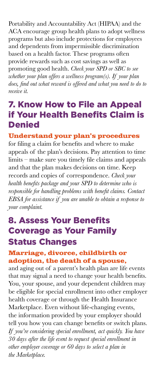Portability and Accountability Act (HIPAA) and the ACA encourage group health plans to adopt wellness programs but also include protections for employees and dependents from impermissible discrimination based on a health factor. These programs often provide rewards such as cost savings as well as promoting good health. *Check your SPD or SBC to see whether your plan offers a wellness program(s). If your plan does, find out what reward is offered and what you need to do to receive it.*

## 7. Know How to File an Appeal if Your Health Benefits Claim is **Denied**

#### **Understand your plan's procedures**

for filing a claim for benefits and where to make appeals of the plan's decisions. Pay attention to time limits – make sure you timely file claims and appeals and that the plan makes decisions on time. Keep records and copies of correspondence. *Check your health benefits package and your SPD to determine who is responsible for handling problems with benefit claims. Contact EBSA for assistance if you are unable to obtain a response to your complaint.* 

## 8. Assess Your Benefits Coverage as Your Family Status Changes

#### **Marriage, divorce, childbirth or adoption, the death of a spouse,**

and aging out of a parent's health plan are life events that may signal a need to change your health benefits. You, your spouse, and your dependent children may be eligible for special enrollment into other employer health coverage or through the Health Insurance Marketplace. Even without life-changing events, the information provided by your employer should tell you how you can change benefits or switch plans. *If you're considering special enrollment, act quickly. You have 30 days after the life event to request special enrollment in other employer coverage or 60 days to select a plan in the Marketplace.*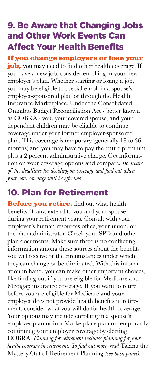## 9. Be Aware that Changing Jobs and Other Work Events Can Affect Your Health Benefits

**If you change employers or lose your job,** you may need to find other health coverage. If you have a new job, consider enrolling in your new employer's plan. Whether starting or losing a job, you may be eligible to special enroll in a spouse's employer-sponsored plan or through the Health Insurance Marketplace. Under the Consolidated Omnibus Budget Reconciliation Act - better known as COBRA - you, your covered spouse, and your dependent children may be eligible to continue coverage under your former employer-sponsored plan. This coverage is temporary (generally 18 to 36 months) and you may have to pay the entire premium plus a 2 percent administrative charge. Get information on your coverage options and compare. *Be aware of the deadlines for deciding on coverage and find out when your new coverage will be effective.* 

## 10. Plan for Retirement

**Before you retire, find out what health** benefits, if any, extend to you and your spouse during your retirement years. Consult with your employer's human resources office, your union, or the plan administrator. Check your SPD and other plan documents. Make sure there is no conflicting information among these sources about the benefits you will receive or the circumstances under which they can change or be eliminated. With this information in hand, you can make other important choices, like finding out if you are eligible for Medicare and Medigap insurance coverage. If you want to retire before you are eligible for Medicare and your employer does not provide health benefits in retirement, consider what you will do for health coverage. Your options may include enrolling in a spouse's employer plan or in a Marketplace plan or temporarily continuing your employer coverage by electing COBRA. *Planning for retirement includes planning for your health coverage in retirement. To find out more, read* Taking the Mystery Out of Retirement Planning *(see back panel).*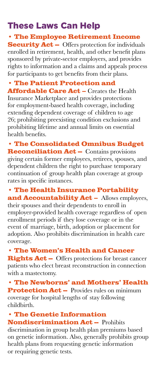## These Laws Can Help

#### **• The Employee Retirement Income**

**Security Act --** Offers protection for individuals enrolled in retirement, health, and other benefit plans sponsored by private-sector employers, and provides rights to information and a claims and appeals process for participants to get benefits from their plans.

#### **• The Patient Protection and**

**Affordable Care Act – Creates the Health** Insurance Marketplace and provides protections for employment-based health coverage, including extending dependent coverage of children to age 26; prohibiting preexisting condition exclusions and prohibiting lifetime and annual limits on essential health benefits.

**• The Consolidated Omnibus Budget Reconciliation Act --** Contains provisions giving certain former employees, retirees, spouses, and dependent children the right to purchase temporary continuation of group health plan coverage at group rates in specific instances.

**• The Health Insurance Portability and Accountability Act –** Allows employees, their spouses and their dependents to enroll in employer-provided health coverage regardless of open enrollment periods if they lose coverage or in the event of marriage, birth, adoption or placement for adoption. Also prohibits discrimination in health care coverage.

**• The Women's Health and Cancer Rights Act –-** Offers protections for breast cancer patients who elect breast reconstruction in connection with a mastectomy.

**• The Newborns' and Mothers' Health Protection Act -** Provides rules on minimum coverage for hospital lengths of stay following childbirth.

#### **• The Genetic Information Nondiscrimination Act -- Prohibits**

discrimination in group health plan premiums based on genetic information. Also, generally prohibits group health plans from requesting genetic information or requiring genetic tests.